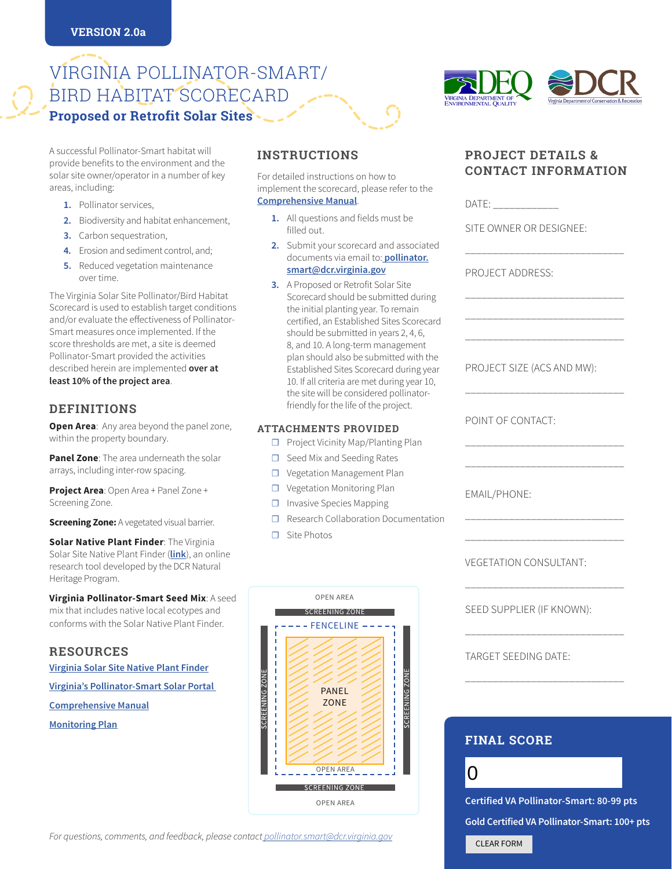# VIRGINIA POLLINATOR-SMART/ BIRD HABITAT SCORECARD **Proposed or Retrofit Solar Sites**

A successful Pollinator-Smart habitat will provide benefits to the environment and the solar site owner/operator in a number of key areas, including:

- **1.** Pollinator services,
- **2.** Biodiversity and habitat enhancement,
- **3.** Carbon sequestration,
- **4.** Erosion and sediment control, and;
- **5.** Reduced vegetation maintenance over time.

The Virginia Solar Site Pollinator/Bird Habitat Scorecard is used to establish target conditions and/or evaluate the effectiveness of Pollinator-Smart measures once implemented. If the score thresholds are met, a site is deemed Pollinator-Smart provided the activities described herein are implemented **over at least 10% of the project area**.

# **DEFINITIONS**

**Open Area:** Any area beyond the panel zone, within the property boundary.

**Panel Zone**: The area underneath the solar arrays, including inter-row spacing.

**Project Area**: Open Area + Panel Zone + Screening Zone.

**Screening Zone:** A vegetated visual barrier.

**Solar Native Plant Finder: The Virginia** Solar Site Native Plant Finder (**[link](https://www.dcr.virginia.gov/natural-heritage/solar-site-native-plants-finder)**), an online research tool developed by the DCR Natural Heritage Program.

**Virginia Pollinator-Smart Seed Mix**: A seed mix that includes native local ecotypes and conforms with the Solar Native Plant Finder.

**RESOURCES**

**[Virginia Solar Site Native Plant Finder](https://www.dcr.virginia.gov/natural-heritage/solar-site-native-plants-finder)**

**[Virginia's Pollinator-Smart Solar Portal](https://www.dcr.virginia.gov/natural-heritage/pollinator-smart)** 

**[Comprehensive Manual](https://www.dcr.virginia.gov/natural-heritage/pollinator-smart)**

**Monitoring Plan**

# **INSTRUCTIONS**

For detailed instructions on how to implement the scorecard, please refer to the **[Comprehensive Manual](https://www.dcr.virginia.gov/natural-heritage/pollinator-smart)**.

- **1.** All questions and fields must be filled out.
- **2.** Submit your scorecard and associated documents via email to: **[pollinator.](mailto:pollinator.smart@dcr.virginia.gov) [smart@dcr.virginia.gov](mailto:pollinator.smart@dcr.virginia.gov)**
- **3.** A Proposed or Retrofit Solar Site Scorecard should be submitted during the initial planting year. To remain certified, an Established Sites Scorecard should be submitted in years 2, 4, 6, 8, and 10. A long-term management plan should also be submitted with the Established Sites Scorecard during year 10. If all criteria are met during year 10, the site will be considered pollinatorfriendly for the life of the project.

#### **ATTACHMENTS PROVIDED**

- ☐ Project Vicinity Map/Planting Plan
- ☐ Seed Mix and Seeding Rates
- ☐ Vegetation Management Plan
- ☐ Vegetation Monitoring Plan
- ☐ Invasive Species Mapping
- ☐ Research Collaboration Documentation
- ☐ Site Photos



# **CONTACT INFORMATION**

A DEPARTMENT OF<br><mark>i</mark>NMENTAL QUALITY

DATE:

SITE OWNER OR DESIGNEE:

\_\_\_\_\_\_\_\_\_\_\_\_\_\_\_\_\_\_\_\_\_\_\_\_\_\_\_\_\_

\_\_\_\_\_\_\_\_\_\_\_\_\_\_\_\_\_\_\_\_\_\_\_\_\_\_\_\_\_ \_\_\_\_\_\_\_\_\_\_\_\_\_\_\_\_\_\_\_\_\_\_\_\_\_\_\_\_\_ \_\_\_\_\_\_\_\_\_\_\_\_\_\_\_\_\_\_\_\_\_\_\_\_\_\_\_\_\_

\_\_\_\_\_\_\_\_\_\_\_\_\_\_\_\_\_\_\_\_\_\_\_\_\_\_\_\_\_

\_\_\_\_\_\_\_\_\_\_\_\_\_\_\_\_\_\_\_\_\_\_\_\_\_\_\_\_\_ \_\_\_\_\_\_\_\_\_\_\_\_\_\_\_\_\_\_\_\_\_\_\_\_\_\_\_\_\_

\_\_\_\_\_\_\_\_\_\_\_\_\_\_\_\_\_\_\_\_\_\_\_\_\_\_\_\_\_ \_\_\_\_\_\_\_\_\_\_\_\_\_\_\_\_\_\_\_\_\_\_\_\_\_\_\_\_\_

\_\_\_\_\_\_\_\_\_\_\_\_\_\_\_\_\_\_\_\_\_\_\_\_\_\_\_\_\_

\_\_\_\_\_\_\_\_\_\_\_\_\_\_\_\_\_\_\_\_\_\_\_\_\_\_\_\_\_

\_\_\_\_\_\_\_\_\_\_\_\_\_\_\_\_\_\_\_\_\_\_\_\_\_\_\_\_\_

**PROJECT DETAILS &** 

PROJECT ADDRESS:

PROJECT SIZE (ACS AND MW):

POINT OF CONTACT:

EMAIL/PHONE:

VEGETATION CONSULTANT:

SEED SUPPLIER (IF KNOWN):

TARGET SEEDING DATE:

# **FINAL SCORE**

0

**Certified VA Pollinator-Smart: 80-99 pts Gold Certified VA Pollinator-Smart: 100+ pts** CLEAR FORM

*For questions, comments, and feedback, please contact [pollinator.smart@dcr.virginia.gov](mailto:pollinator.smart@dcr.virginia.gov)*